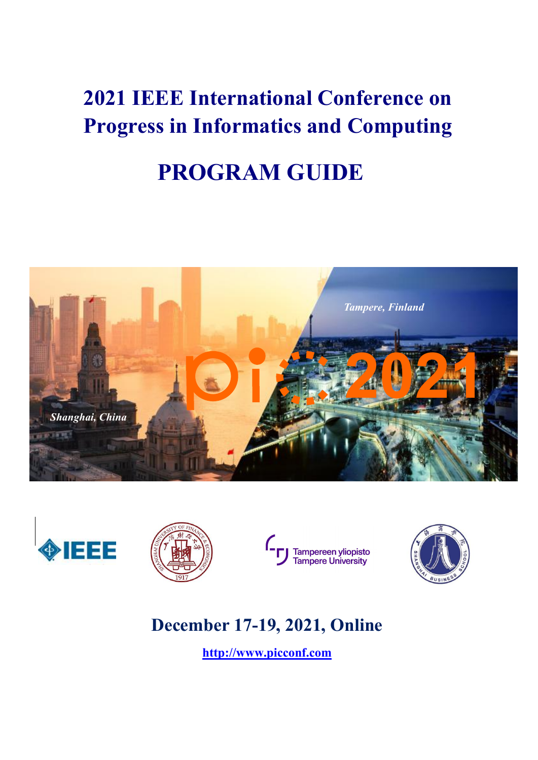# **2021 IEEE International Conference on Progress in Informatics and Computing PROGRAM GUIDE**







Tampereen yliopisto<br>Tampere University



#### **December 17-19, 2021, Online**

**<http://www.picconf.com>**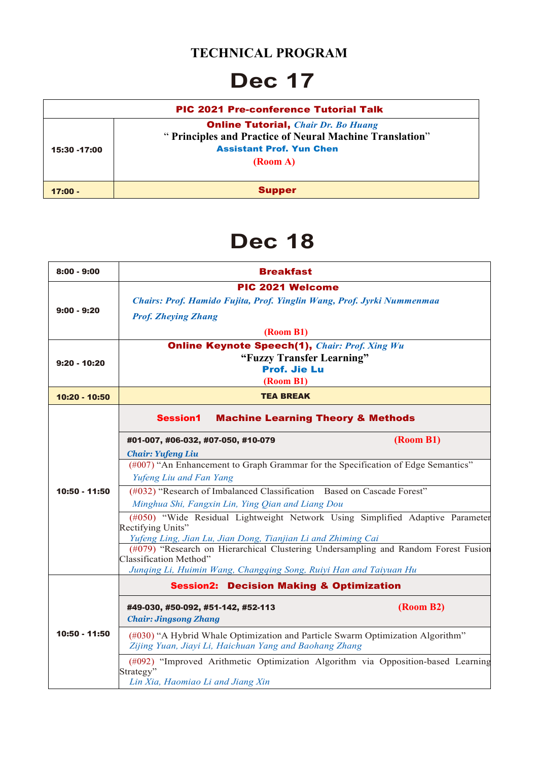#### **TECHNICAL PROGRAM**

### **Dec 17**

|              | <b>PIC 2021 Pre-conference Tutorial Talk</b>                                                                                                          |
|--------------|-------------------------------------------------------------------------------------------------------------------------------------------------------|
| 15:30 -17:00 | <b>Online Tutorial, Chair Dr. Bo Huang</b><br>" Principles and Practice of Neural Machine Translation"<br><b>Assistant Prof. Yun Chen</b><br>(Room A) |
| $17:00 -$    | <b>Supper</b>                                                                                                                                         |

### **Dec 18**

| $8:00 - 9:00$  | <b>Breakfast</b>                                                                                                                         |  |  |
|----------------|------------------------------------------------------------------------------------------------------------------------------------------|--|--|
|                | PIC 2021 Welcome                                                                                                                         |  |  |
|                | Chairs: Prof. Hamido Fujita, Prof. Yinglin Wang, Prof. Jyrki Nummenmaa                                                                   |  |  |
| $9:00 - 9:20$  | <b>Prof. Zheying Zhang</b>                                                                                                               |  |  |
|                | (Room B1)                                                                                                                                |  |  |
|                | <b>Online Keynote Speech(1), Chair: Prof. Xing Wu</b>                                                                                    |  |  |
| $9:20 - 10:20$ | "Fuzzy Transfer Learning"                                                                                                                |  |  |
|                | <b>Prof. Jie Lu</b><br>(Room B1)                                                                                                         |  |  |
| 10:20 - 10:50  | <b>TEA BREAK</b>                                                                                                                         |  |  |
|                | <b>Session1</b><br><b>Machine Learning Theory &amp; Methods</b>                                                                          |  |  |
|                | (Room B1)<br>#01-007, #06-032, #07-050, #10-079                                                                                          |  |  |
|                | <b>Chair: Yufeng Liu</b>                                                                                                                 |  |  |
|                | (#007) "An Enhancement to Graph Grammar for the Specification of Edge Semantics"                                                         |  |  |
|                | Yufeng Liu and Fan Yang                                                                                                                  |  |  |
| 10:50 - 11:50  | (#032) "Research of Imbalanced Classification Based on Cascade Forest"                                                                   |  |  |
|                | Minghua Shi, Fangxin Lin, Ying Qian and Liang Dou                                                                                        |  |  |
|                | (#050) "Wide Residual Lightweight Network Using Simplified Adaptive Parameter<br>Rectifying Units"                                       |  |  |
|                | Yufeng Ling, Jian Lu, Jian Dong, Tianjian Li and Zhiming Cai                                                                             |  |  |
|                | (#079) "Research on Hierarchical Clustering Undersampling and Random Forest Fusion                                                       |  |  |
|                | Classification Method"<br>Junqing Li, Huimin Wang, Changqing Song, Ruiyi Han and Taiyuan Hu                                              |  |  |
|                | <b>Session2: Decision Making &amp; Optimization</b>                                                                                      |  |  |
|                | (Room B2)<br>#49-030, #50-092, #51-142, #52-113<br><b>Chair: Jingsong Zhang</b>                                                          |  |  |
| 10:50 - 11:50  | (#030) "A Hybrid Whale Optimization and Particle Swarm Optimization Algorithm"<br>Zijing Yuan, Jiayi Li, Haichuan Yang and Baohang Zhang |  |  |
|                | (#092) "Improved Arithmetic Optimization Algorithm via Opposition-based Learning<br>Strategy"<br>Lin Xia, Haomiao Li and Jiang Xin       |  |  |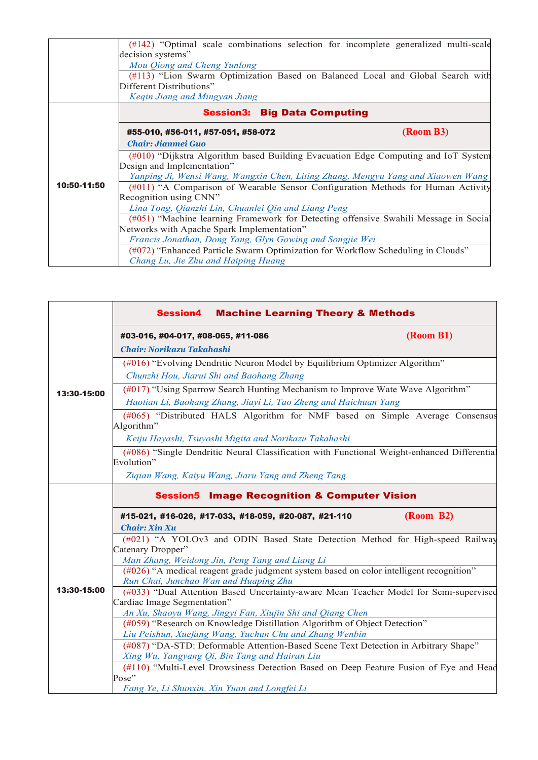|             | (#142) "Optimal scale combinations selection for incomplete generalized multi-scale  |           |  |
|-------------|--------------------------------------------------------------------------------------|-----------|--|
|             | decision systems"                                                                    |           |  |
|             | Mou Qiong and Cheng Yunlong                                                          |           |  |
|             | (#113) "Lion Swarm Optimization Based on Balanced Local and Global Search with       |           |  |
|             | Different Distributions"                                                             |           |  |
|             | Kegin Jiang and Mingyan Jiang                                                        |           |  |
|             | <b>Session3: Big Data Computing</b>                                                  |           |  |
|             | #55-010, #56-011, #57-051, #58-072                                                   | (Room B3) |  |
|             | <b>Chair: Jianmei Guo</b>                                                            |           |  |
|             | (#010) "Dijkstra Algorithm based Building Evacuation Edge Computing and IoT System   |           |  |
|             | Design and Implementation"                                                           |           |  |
|             | Yanping Ji, Wensi Wang, Wangxin Chen, Liting Zhang, Mengyu Yang and Xiaowen Wang     |           |  |
| 10:50-11:50 | (#011) "A Comparison of Wearable Sensor Configuration Methods for Human Activity     |           |  |
|             | Recognition using CNN"                                                               |           |  |
|             | Lina Tong, Qianzhi Lin, Chuanlei Qin and Liang Peng                                  |           |  |
|             | (#051) "Machine learning Framework for Detecting offensive Swahili Message in Social |           |  |
|             | Networks with Apache Spark Implementation"                                           |           |  |
|             | Francis Jonathan, Dong Yang, Glyn Gowing and Songjie Wei                             |           |  |
|             | (#072) "Enhanced Particle Swarm Optimization for Workflow Scheduling in Clouds"      |           |  |
|             | Chang Lu, Jie Zhu and Haiping Huang                                                  |           |  |

|             | <b>Session4</b><br><b>Machine Learning Theory &amp; Methods</b>                                                                           |           |  |
|-------------|-------------------------------------------------------------------------------------------------------------------------------------------|-----------|--|
|             | #03-016, #04-017, #08-065, #11-086                                                                                                        | (Room B1) |  |
|             | Chair: Norikazu Takahashi                                                                                                                 |           |  |
|             | (#016) "Evolving Dendritic Neuron Model by Equilibrium Optimizer Algorithm"                                                               |           |  |
|             | Chunzhi Hou, Jiarui Shi and Baohang Zhang                                                                                                 |           |  |
| 13:30-15:00 | (#017) "Using Sparrow Search Hunting Mechanism to Improve Wate Wave Algorithm"                                                            |           |  |
|             | Haotian Li, Baohang Zhang, Jiayi Li, Tao Zheng and Haichuan Yang                                                                          |           |  |
|             | (#065) "Distributed HALS Algorithm for NMF based on Simple Average Consensus<br>Algorithm"                                                |           |  |
|             | Keiju Hayashi, Tsuyoshi Migita and Norikazu Takahashi                                                                                     |           |  |
|             | (#086) "Single Dendritic Neural Classification with Functional Weight-enhanced Differential<br>Evolution"                                 |           |  |
|             | Ziqian Wang, Kaiyu Wang, Jiaru Yang and Zheng Tang                                                                                        |           |  |
|             | <b>Session5 Image Recognition &amp; Computer Vision</b>                                                                                   |           |  |
|             | #15-021, #16-026, #17-033, #18-059, #20-087, #21-110<br><b>Chair: Xin Xu</b>                                                              | (Room B2) |  |
|             | (#021) "A YOLOv3 and ODIN Based State Detection Method for High-speed Railway<br>Catenary Dropper"                                        |           |  |
|             | Man Zhang, Weidong Jin, Peng Tang and Liang Li<br>(#026) "A medical reagent grade judgment system based on color intelligent recognition" |           |  |
|             | Run Chai, Junchao Wan and Huaping Zhu                                                                                                     |           |  |
| 13:30-15:00 | (#033) "Dual Attention Based Uncertainty-aware Mean Teacher Model for Semi-supervised                                                     |           |  |
|             | Cardiac Image Segmentation"                                                                                                               |           |  |
|             | An Xu, Shaoyu Wang, Jingyi Fan, Xiujin Shi and Qiang Chen                                                                                 |           |  |
|             | (#059) "Research on Knowledge Distillation Algorithm of Object Detection"<br>Liu Peishun, Xuefang Wang, Yuchun Chu and Zhang Wenbin       |           |  |
|             | (#087) "DA-STD: Deformable Attention-Based Scene Text Detection in Arbitrary Shape"                                                       |           |  |
|             | Xing Wu, Yangyang Qi, Bin Tang and Hairan Liu                                                                                             |           |  |
|             | (#110) "Multi-Level Drowsiness Detection Based on Deep Feature Fusion of Eye and Head                                                     |           |  |
|             | Pose"                                                                                                                                     |           |  |
|             | Fang Ye, Li Shunxin, Xin Yuan and Longfei Li                                                                                              |           |  |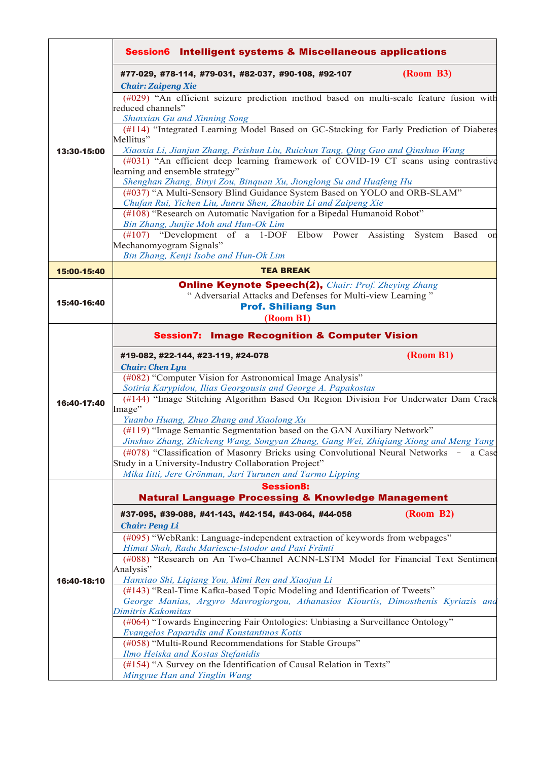|             | <b>Session6</b> Intelligent systems & Miscellaneous applications                                                                                                                                                                                        |
|-------------|---------------------------------------------------------------------------------------------------------------------------------------------------------------------------------------------------------------------------------------------------------|
|             | (Room B3)<br>#77-029, #78-114, #79-031, #82-037, #90-108, #92-107<br><b>Chair: Zaipeng Xie</b>                                                                                                                                                          |
|             | (#029) "An efficient seizure prediction method based on multi-scale feature fusion with<br>reduced channels"<br>Shunxian Gu and Xinning Song<br>(#114) "Integrated Learning Model Based on GC-Stacking for Early Prediction of Diabetes                 |
| 13:30-15:00 | Mellitus"<br>Xiaoxia Li, Jianjun Zhang, Peishun Liu, Ruichun Tang, Qing Guo and Qinshuo Wang<br>(#031) "An efficient deep learning framework of COVID-19 CT scans using contrastive<br>learning and ensemble strategy"                                  |
|             | Shenghan Zhang, Binyi Zou, Binquan Xu, Jionglong Su and Huafeng Hu<br>(#037) "A Multi-Sensory Blind Guidance System Based on YOLO and ORB-SLAM"<br>Chufan Rui, Yichen Liu, Junru Shen, Zhaobin Li and Zaipeng Xie                                       |
|             | (#108) "Research on Automatic Navigation for a Bipedal Humanoid Robot"<br>Bin Zhang, Junjie Moh and Hun-Ok Lim                                                                                                                                          |
|             | (#107) "Development of a 1-DOF Elbow Power Assisting System Based on<br>Mechanomyogram Signals"<br>Bin Zhang, Kenji Isobe and Hun-Ok Lim                                                                                                                |
| 15:00-15:40 | <b>TEA BREAK</b>                                                                                                                                                                                                                                        |
| 15:40-16:40 | <b>Online Keynote Speech(2), Chair: Prof. Zheying Zhang</b><br>" Adversarial Attacks and Defenses for Multi-view Learning"<br><b>Prof. Shiliang Sun</b><br>(Room B1)                                                                                    |
|             | <b>Session7: Image Recognition &amp; Computer Vision</b>                                                                                                                                                                                                |
|             | (Room B1)<br>#19-082, #22-144, #23-119, #24-078<br><b>Chair: Chen Lyu</b><br>(#082) "Computer Vision for Astronomical Image Analysis"<br>Sotiria Karypidou, Ilias Georgousis and George A. Papakostas                                                   |
| 16:40-17:40 | (#144) "Image Stitching Algorithm Based On Region Division For Underwater Dam Crack<br>Image"<br>Yuanbo Huang, Zhuo Zhang and Xiaolong Xu                                                                                                               |
|             | (#119) "Image Semantic Segmentation based on the GAN Auxiliary Network"<br>Jinshuo Zhang, Zhicheng Wang, Songyan Zhang, Gang Wei, Zhiqiang Xiong and Meng Yang<br>(#078) "Classification of Masonry Bricks using Convolutional Neural Networks - a Case |
|             | Study in a University-Industry Collaboration Project"<br>Mika Iitti, Jere Grönman, Jari Turunen and Tarmo Lipping                                                                                                                                       |
|             | <b>Session8:</b><br><b>Natural Language Processing &amp; Knowledge Management</b>                                                                                                                                                                       |
|             | (Room B2)<br>#37-095, #39-088, #41-143, #42-154, #43-064, #44-058<br><b>Chair: Peng Li</b>                                                                                                                                                              |
|             | (#095) "WebRank: Language-independent extraction of keywords from webpages"<br>Himat Shah, Radu Mariescu-Istodor and Pasi Fränti                                                                                                                        |
| 16:40-18:10 | (#088) "Research on An Two-Channel ACNN-LSTM Model for Financial Text Sentiment<br>Analysis"<br>Hanxiao Shi, Liqiang You, Mimi Ren and Xiaojun Li                                                                                                       |
|             | (#143) "Real-Time Kafka-based Topic Modeling and Identification of Tweets"<br>George Manias, Argyro Mavrogiorgou, Athanasios Kiourtis, Dimosthenis Kyriazis and<br>Dimitris Kakomitas                                                                   |
|             | (#064) "Towards Engineering Fair Ontologies: Unbiasing a Surveillance Ontology"<br><b>Evangelos Paparidis and Konstantinos Kotis</b>                                                                                                                    |
|             | (#058) "Multi-Round Recommendations for Stable Groups"<br>Ilmo Heiska and Kostas Stefanidis<br>(#154) "A Survey on the Identification of Causal Relation in Texts"                                                                                      |
|             | Mingyue Han and Yinglin Wang                                                                                                                                                                                                                            |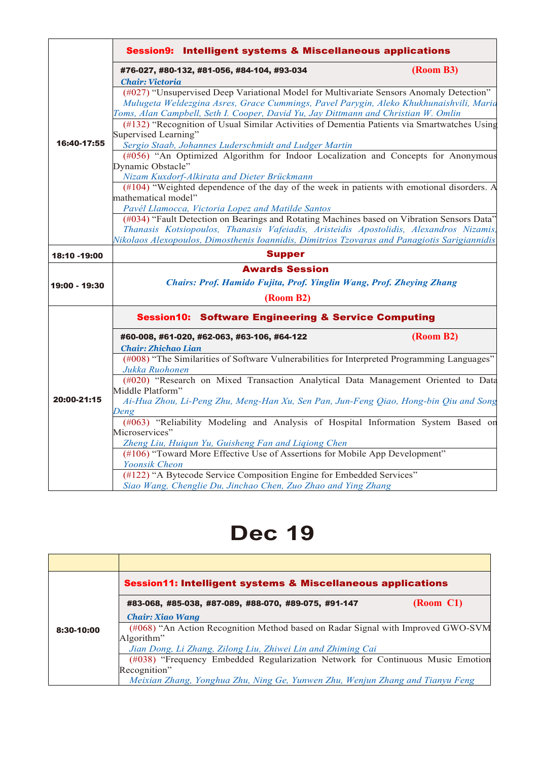|               | <b>Session9: Intelligent systems &amp; Miscellaneous applications</b>                                                                                                        |           |  |
|---------------|------------------------------------------------------------------------------------------------------------------------------------------------------------------------------|-----------|--|
|               | #76-027, #80-132, #81-056, #84-104, #93-034                                                                                                                                  | (Room B3) |  |
|               | <b>Chair: Victoria</b>                                                                                                                                                       |           |  |
|               | (#027) "Unsupervised Deep Variational Model for Multivariate Sensors Anomaly Detection"                                                                                      |           |  |
|               | Mulugeta Weldezgina Asres, Grace Cummings, Pavel Parygin, Aleko Khukhunaishvili, Marid<br>Toms, Alan Campbell, Seth I. Cooper, David Yu, Jay Dittmann and Christian W. Omlin |           |  |
|               | (#132) "Recognition of Usual Similar Activities of Dementia Patients via Smartwatches Using                                                                                  |           |  |
|               | Supervised Learning"                                                                                                                                                         |           |  |
| 16:40-17:55   | Sergio Staab, Johannes Luderschmidt and Ludger Martin                                                                                                                        |           |  |
|               | (#056) "An Optimized Algorithm for Indoor Localization and Concepts for Anonymous                                                                                            |           |  |
|               | Dynamic Obstacle"                                                                                                                                                            |           |  |
|               | Nizam Kuxdorf-Alkirata and Dieter Brückmann                                                                                                                                  |           |  |
|               | (#104) "Weighted dependence of the day of the week in patients with emotional disorders. A                                                                                   |           |  |
|               | mathematical model"                                                                                                                                                          |           |  |
|               | Pavél Llamocca, Victoria Lopez and Matilde Santos                                                                                                                            |           |  |
|               | (#034) "Fault Detection on Bearings and Rotating Machines based on Vibration Sensors Data"                                                                                   |           |  |
|               | Thanasis Kotsiopoulos, Thanasis Vafeiadis, Aristeidis Apostolidis, Alexandros Nizamis,                                                                                       |           |  |
|               | Nikolaos Alexopoulos, Dimosthenis Ioannidis, Dimitrios Tzovaras and Panagiotis Sarigiannidis                                                                                 |           |  |
| 18:10 -19:00  | <b>Supper</b>                                                                                                                                                                |           |  |
|               | <b>Awards Session</b>                                                                                                                                                        |           |  |
| 19:00 - 19:30 | <b>Chairs: Prof. Hamido Fujita, Prof. Yinglin Wang, Prof. Zheying Zhang</b>                                                                                                  |           |  |
|               | (Room B2)                                                                                                                                                                    |           |  |
|               | <b>Session10: Software Engineering &amp; Service Computing</b>                                                                                                               |           |  |
|               | #60-008, #61-020, #62-063, #63-106, #64-122                                                                                                                                  | (Room B2) |  |
|               | <b>Chair: Zhichao Lian</b>                                                                                                                                                   |           |  |
|               | (#008) "The Similarities of Software Vulnerabilities for Interpreted Programming Languages"                                                                                  |           |  |
|               | Jukka Ruohonen                                                                                                                                                               |           |  |
|               | (#020) "Research on Mixed Transaction Analytical Data Management Oriented to Data                                                                                            |           |  |
|               | Middle Platform"                                                                                                                                                             |           |  |
| 20:00-21:15   | Ai-Hua Zhou, Li-Peng Zhu, Meng-Han Xu, Sen Pan, Jun-Feng Qiao, Hong-bin Qiu and Song                                                                                         |           |  |
|               | Deng                                                                                                                                                                         |           |  |
|               | (#063) "Reliability Modeling and Analysis of Hospital Information System Based on                                                                                            |           |  |
|               | Microservices"                                                                                                                                                               |           |  |
|               | Zheng Liu, Huiqun Yu, Guisheng Fan and Liqiong Chen<br>(#106) "Toward More Effective Use of Assertions for Mobile App Development"                                           |           |  |
|               | <b>Yoonsik Cheon</b>                                                                                                                                                         |           |  |
|               | (#122) "A Bytecode Service Composition Engine for Embedded Services"                                                                                                         |           |  |
|               |                                                                                                                                                                              |           |  |

## **Dec 19**

|            | <b>Session11: Intelligent systems &amp; Miscellaneous applications</b>           |                |  |  |
|------------|----------------------------------------------------------------------------------|----------------|--|--|
|            | #83-068, #85-038, #87-089, #88-070, #89-075, #91-147                             | $(Room \; Cl)$ |  |  |
|            | <b>Chair: Xiao Wang</b>                                                          |                |  |  |
| 8:30-10:00 | (#068) "An Action Recognition Method based on Radar Signal with Improved GWO-SVM |                |  |  |
|            | Algorithm"                                                                       |                |  |  |
|            | Jian Dong, Li Zhang, Zilong Liu, Zhiwei Lin and Zhiming Cai                      |                |  |  |
|            | (#038) "Frequency Embedded Regularization Network for Continuous Music Emotion   |                |  |  |
|            | Recognition"                                                                     |                |  |  |
|            | Meixian Zhang, Yonghua Zhu, Ning Ge, Yunwen Zhu, Wenjun Zhang and Tianyu Feng    |                |  |  |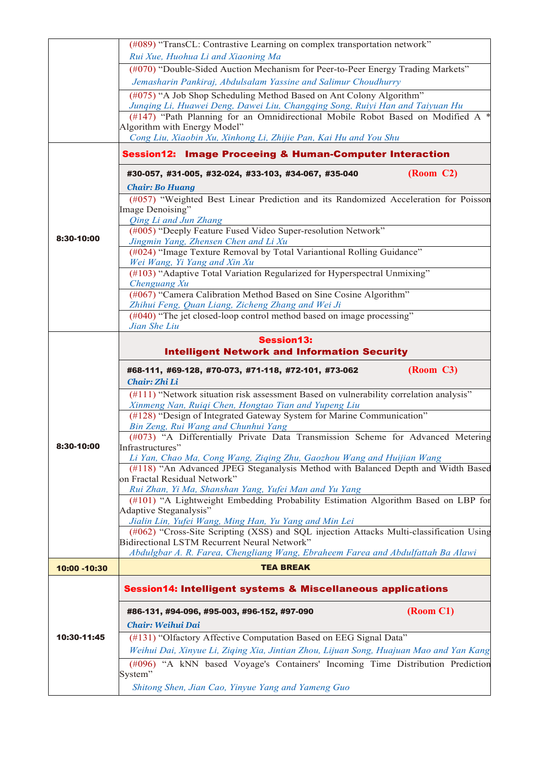|              | (#089) "TransCL: Contrastive Learning on complex transportation network"<br>Rui Xue, Huohua Li and Xiaoning Ma                |  |  |
|--------------|-------------------------------------------------------------------------------------------------------------------------------|--|--|
|              |                                                                                                                               |  |  |
|              | (#070) "Double-Sided Auction Mechanism for Peer-to-Peer Energy Trading Markets"                                               |  |  |
|              | Jemasharin Pankiraj, Abdulsalam Yassine and Salimur Choudhurry                                                                |  |  |
|              | (#075) "A Job Shop Scheduling Method Based on Ant Colony Algorithm"                                                           |  |  |
|              | Junging Li, Huawei Deng, Dawei Liu, Changqing Song, Ruiyi Han and Taiyuan Hu                                                  |  |  |
|              | (#147) "Path Planning for an Omnidirectional Mobile Robot Based on Modified A                                                 |  |  |
|              | Algorithm with Energy Model"                                                                                                  |  |  |
|              | Cong Liu, Xiaobin Xu, Xinhong Li, Zhijie Pan, Kai Hu and You Shu                                                              |  |  |
|              | <b>Session12: Image Proceeing &amp; Human-Computer Interaction</b>                                                            |  |  |
|              | (Room C2)<br>#30-057, #31-005, #32-024, #33-103, #34-067, #35-040                                                             |  |  |
|              | <b>Chair: Bo Huang</b>                                                                                                        |  |  |
|              | (#057) "Weighted Best Linear Prediction and its Randomized Acceleration for Poisson                                           |  |  |
|              | Image Denoising"                                                                                                              |  |  |
|              | Qing Li and Jun Zhang<br>(#005) "Deeply Feature Fused Video Super-resolution Network"                                         |  |  |
| 8:30-10:00   | Jingmin Yang, Zhensen Chen and Li Xu                                                                                          |  |  |
|              | (#024) "Image Texture Removal by Total Variantional Rolling Guidance"                                                         |  |  |
|              | Wei Wang, Yi Yang and Xin Xu                                                                                                  |  |  |
|              | (#103) "Adaptive Total Variation Regularized for Hyperspectral Unmixing"                                                      |  |  |
|              | Chenguang Xu                                                                                                                  |  |  |
|              | (#067) "Camera Calibration Method Based on Sine Cosine Algorithm"                                                             |  |  |
|              | Zhihui Feng, Quan Liang, Zicheng Zhang and Wei Ji<br>(#040) "The jet closed-loop control method based on image processing"    |  |  |
|              | Jian She Liu                                                                                                                  |  |  |
|              | <b>Session13:</b>                                                                                                             |  |  |
|              | <b>Intelligent Network and Information Security</b>                                                                           |  |  |
|              |                                                                                                                               |  |  |
|              | (Room C3)<br>#68-111, #69-128, #70-073, #71-118, #72-101, #73-062                                                             |  |  |
|              | Chair: Zhi Li                                                                                                                 |  |  |
|              | (#111) "Network situation risk assessment Based on vulnerability correlation analysis"                                        |  |  |
|              | Xinmeng Nan, Ruiqi Chen, Hongtao Tian and Yupeng Liu<br>(#128) "Design of Integrated Gateway System for Marine Communication" |  |  |
|              | Bin Zeng, Rui Wang and Chunhui Yang                                                                                           |  |  |
|              | (#073) "A Differentially Private Data Transmission Scheme for Advanced Metering                                               |  |  |
| 8:30-10:00   | Infrastructures"                                                                                                              |  |  |
|              | Li Yan, Chao Ma, Cong Wang, Ziqing Zhu, Gaozhou Wang and Huijian Wang                                                         |  |  |
|              | (#118) "An Advanced JPEG Steganalysis Method with Balanced Depth and Width Based                                              |  |  |
|              | on Fractal Residual Network"                                                                                                  |  |  |
|              | Rui Zhan, Yi Ma, Shanshan Yang, Yufei Man and Yu Yang                                                                         |  |  |
|              | (#101) "A Lightweight Embedding Probability Estimation Algorithm Based on LBP for<br>Adaptive Steganalysis"                   |  |  |
|              | Jialin Lin, Yufei Wang, Ming Han, Yu Yang and Min Lei                                                                         |  |  |
|              | (#062) "Cross-Site Scripting (XSS) and SQL injection Attacks Multi-classification Using                                       |  |  |
|              | Bidirectional LSTM Recurrent Neural Network"                                                                                  |  |  |
|              | Abdulgbar A. R. Farea, Chengliang Wang, Ebraheem Farea and Abdulfattah Ba Alawi                                               |  |  |
| 10:00 -10:30 | <b>TEA BREAK</b>                                                                                                              |  |  |
|              | <b>Session14: Intelligent systems &amp; Miscellaneous applications</b>                                                        |  |  |
|              | (Room C1)<br>#86-131, #94-096, #95-003, #96-152, #97-090                                                                      |  |  |
|              | Chair: Weihui Dai                                                                                                             |  |  |
| 10:30-11:45  |                                                                                                                               |  |  |
|              | (#131) "Olfactory Affective Computation Based on EEG Signal Data"                                                             |  |  |
|              | Weihui Dai, Xinyue Li, Ziqing Xia, Jintian Zhou, Lijuan Song, Huajuan Mao and Yan Kang                                        |  |  |
|              | (#096) "A kNN based Voyage's Containers' Incoming Time Distribution Prediction<br>System"                                     |  |  |
|              | Shitong Shen, Jian Cao, Yinyue Yang and Yameng Guo                                                                            |  |  |
|              |                                                                                                                               |  |  |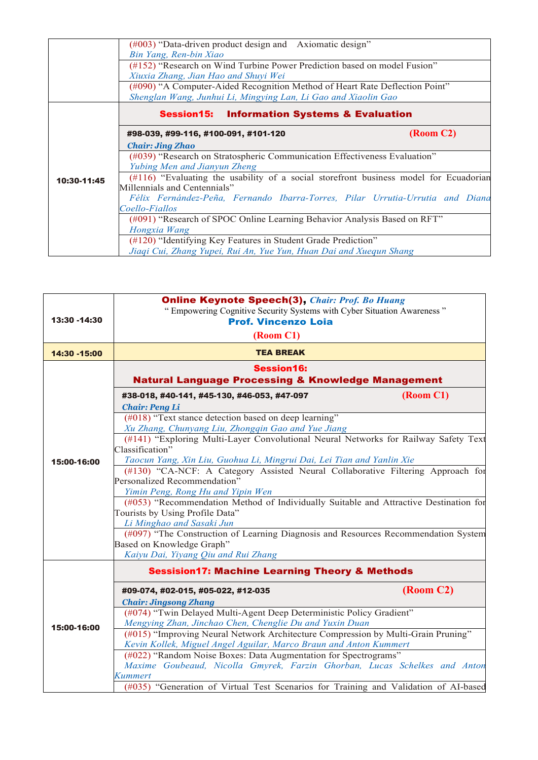|             | $(\text{\#}003)$ "Data-driven product design and Axiomatic design"                    |           |  |
|-------------|---------------------------------------------------------------------------------------|-----------|--|
|             | Bin Yang, Ren-bin Xiao                                                                |           |  |
|             | (#152) "Research on Wind Turbine Power Prediction based on model Fusion"              |           |  |
|             | Xiuxia Zhang, Jian Hao and Shuyi Wei                                                  |           |  |
|             | (#090) "A Computer-Aided Recognition Method of Heart Rate Deflection Point"           |           |  |
|             | Shenglan Wang, Junhui Li, Mingying Lan, Li Gao and Xiaolin Gao                        |           |  |
|             | <b>Session15: Information Systems &amp; Evaluation</b>                                |           |  |
|             | #98-039, #99-116, #100-091, #101-120                                                  | (Room C2) |  |
|             | <b>Chair: Jing Zhao</b>                                                               |           |  |
|             | (#039) "Research on Stratospheric Communication Effectiveness Evaluation"             |           |  |
|             | Yubing Men and Jianyun Zheng                                                          |           |  |
| 10:30-11:45 | (#116) "Evaluating the usability of a social storefront business model for Ecuadorian |           |  |
|             | Millennials and Centennials"                                                          |           |  |
|             | Félix Fernández-Peña, Fernando Ibarra-Torres, Pilar Urrutia-Urrutia and Diand         |           |  |
|             | Coello-Fiallos                                                                        |           |  |
|             | $(\text{\#091})$ "Research of SPOC Online Learning Behavior Analysis Based on RFT"    |           |  |
|             | Hongxia Wang                                                                          |           |  |
|             | (#120) "Identifying Key Features in Student Grade Prediction"                         |           |  |
|             | Jiaqi Cui, Zhang Yupei, Rui An, Yue Yun, Huan Dai and Xuequn Shang                    |           |  |

| <b>TEA BREAK</b><br>14:30 - 15:00<br><b>Session16:</b><br><b>Natural Language Processing &amp; Knowledge Management</b><br>(Room C1)<br>#38-018, #40-141, #45-130, #46-053, #47-097<br><b>Chair: Peng Li</b><br>(#018) "Text stance detection based on deep learning"<br>Xu Zhang, Chunyang Liu, Zhongqin Gao and Yue Jiang<br>(#141) "Exploring Multi-Layer Convolutional Neural Networks for Railway Safety Text<br>Classification"<br>Taocun Yang, Xin Liu, Guohua Li, Mingrui Dai, Lei Tian and Yanlin Xie<br>15:00-16:00<br>(#130) "CA-NCF: A Category Assisted Neural Collaborative Filtering Approach for<br>Personalized Recommendation"<br>Yimin Peng, Rong Hu and Yipin Wen<br>(#053) "Recommendation Method of Individually Suitable and Attractive Destination for<br>Tourists by Using Profile Data"<br>Li Minghao and Sasaki Jun<br>(#097) "The Construction of Learning Diagnosis and Resources Recommendation System<br>Based on Knowledge Graph"<br>Kaiyu Dai, Yiyang Qiu and Rui Zhang<br><b>Sessision17: Machine Learning Theory &amp; Methods</b><br>(Room C2)<br>#09-074, #02-015, #05-022, #12-035<br><b>Chair: Jingsong Zhang</b><br>(#074) "Twin Delayed Multi-Agent Deep Deterministic Policy Gradient"<br>Mengying Zhan, Jinchao Chen, Chenglie Du and Yuxin Duan<br>15:00-16:00<br>(#015) "Improving Neural Network Architecture Compression by Multi-Grain Pruning"<br>Kevin Kollek, Miguel Angel Aguilar, Marco Braun and Anton Kummert<br>(#022) "Random Noise Boxes: Data Augmentation for Spectrograms"<br>Maxime Goubeaud, Nicolla Gmyrek, Farzin Ghorban, Lucas Schelkes and Anton<br>Kummert<br>(#035) "Generation of Virtual Test Scenarios for Training and Validation of AI-based | 13:30 -14:30 | <b>Online Keynote Speech(3), Chair: Prof. Bo Huang</b><br>" Empowering Cognitive Security Systems with Cyber Situation Awareness"<br><b>Prof. Vincenzo Loia</b><br>(Room C1) |  |  |  |
|-------------------------------------------------------------------------------------------------------------------------------------------------------------------------------------------------------------------------------------------------------------------------------------------------------------------------------------------------------------------------------------------------------------------------------------------------------------------------------------------------------------------------------------------------------------------------------------------------------------------------------------------------------------------------------------------------------------------------------------------------------------------------------------------------------------------------------------------------------------------------------------------------------------------------------------------------------------------------------------------------------------------------------------------------------------------------------------------------------------------------------------------------------------------------------------------------------------------------------------------------------------------------------------------------------------------------------------------------------------------------------------------------------------------------------------------------------------------------------------------------------------------------------------------------------------------------------------------------------------------------------------------------------------------------------------------------------------------------|--------------|------------------------------------------------------------------------------------------------------------------------------------------------------------------------------|--|--|--|
|                                                                                                                                                                                                                                                                                                                                                                                                                                                                                                                                                                                                                                                                                                                                                                                                                                                                                                                                                                                                                                                                                                                                                                                                                                                                                                                                                                                                                                                                                                                                                                                                                                                                                                                         |              |                                                                                                                                                                              |  |  |  |
|                                                                                                                                                                                                                                                                                                                                                                                                                                                                                                                                                                                                                                                                                                                                                                                                                                                                                                                                                                                                                                                                                                                                                                                                                                                                                                                                                                                                                                                                                                                                                                                                                                                                                                                         |              |                                                                                                                                                                              |  |  |  |
|                                                                                                                                                                                                                                                                                                                                                                                                                                                                                                                                                                                                                                                                                                                                                                                                                                                                                                                                                                                                                                                                                                                                                                                                                                                                                                                                                                                                                                                                                                                                                                                                                                                                                                                         |              |                                                                                                                                                                              |  |  |  |
|                                                                                                                                                                                                                                                                                                                                                                                                                                                                                                                                                                                                                                                                                                                                                                                                                                                                                                                                                                                                                                                                                                                                                                                                                                                                                                                                                                                                                                                                                                                                                                                                                                                                                                                         |              |                                                                                                                                                                              |  |  |  |
|                                                                                                                                                                                                                                                                                                                                                                                                                                                                                                                                                                                                                                                                                                                                                                                                                                                                                                                                                                                                                                                                                                                                                                                                                                                                                                                                                                                                                                                                                                                                                                                                                                                                                                                         |              |                                                                                                                                                                              |  |  |  |
|                                                                                                                                                                                                                                                                                                                                                                                                                                                                                                                                                                                                                                                                                                                                                                                                                                                                                                                                                                                                                                                                                                                                                                                                                                                                                                                                                                                                                                                                                                                                                                                                                                                                                                                         |              |                                                                                                                                                                              |  |  |  |
|                                                                                                                                                                                                                                                                                                                                                                                                                                                                                                                                                                                                                                                                                                                                                                                                                                                                                                                                                                                                                                                                                                                                                                                                                                                                                                                                                                                                                                                                                                                                                                                                                                                                                                                         |              |                                                                                                                                                                              |  |  |  |
|                                                                                                                                                                                                                                                                                                                                                                                                                                                                                                                                                                                                                                                                                                                                                                                                                                                                                                                                                                                                                                                                                                                                                                                                                                                                                                                                                                                                                                                                                                                                                                                                                                                                                                                         |              |                                                                                                                                                                              |  |  |  |
|                                                                                                                                                                                                                                                                                                                                                                                                                                                                                                                                                                                                                                                                                                                                                                                                                                                                                                                                                                                                                                                                                                                                                                                                                                                                                                                                                                                                                                                                                                                                                                                                                                                                                                                         |              |                                                                                                                                                                              |  |  |  |
|                                                                                                                                                                                                                                                                                                                                                                                                                                                                                                                                                                                                                                                                                                                                                                                                                                                                                                                                                                                                                                                                                                                                                                                                                                                                                                                                                                                                                                                                                                                                                                                                                                                                                                                         |              |                                                                                                                                                                              |  |  |  |
|                                                                                                                                                                                                                                                                                                                                                                                                                                                                                                                                                                                                                                                                                                                                                                                                                                                                                                                                                                                                                                                                                                                                                                                                                                                                                                                                                                                                                                                                                                                                                                                                                                                                                                                         |              |                                                                                                                                                                              |  |  |  |
|                                                                                                                                                                                                                                                                                                                                                                                                                                                                                                                                                                                                                                                                                                                                                                                                                                                                                                                                                                                                                                                                                                                                                                                                                                                                                                                                                                                                                                                                                                                                                                                                                                                                                                                         |              |                                                                                                                                                                              |  |  |  |
|                                                                                                                                                                                                                                                                                                                                                                                                                                                                                                                                                                                                                                                                                                                                                                                                                                                                                                                                                                                                                                                                                                                                                                                                                                                                                                                                                                                                                                                                                                                                                                                                                                                                                                                         |              |                                                                                                                                                                              |  |  |  |
|                                                                                                                                                                                                                                                                                                                                                                                                                                                                                                                                                                                                                                                                                                                                                                                                                                                                                                                                                                                                                                                                                                                                                                                                                                                                                                                                                                                                                                                                                                                                                                                                                                                                                                                         |              |                                                                                                                                                                              |  |  |  |
|                                                                                                                                                                                                                                                                                                                                                                                                                                                                                                                                                                                                                                                                                                                                                                                                                                                                                                                                                                                                                                                                                                                                                                                                                                                                                                                                                                                                                                                                                                                                                                                                                                                                                                                         |              |                                                                                                                                                                              |  |  |  |
|                                                                                                                                                                                                                                                                                                                                                                                                                                                                                                                                                                                                                                                                                                                                                                                                                                                                                                                                                                                                                                                                                                                                                                                                                                                                                                                                                                                                                                                                                                                                                                                                                                                                                                                         |              |                                                                                                                                                                              |  |  |  |
|                                                                                                                                                                                                                                                                                                                                                                                                                                                                                                                                                                                                                                                                                                                                                                                                                                                                                                                                                                                                                                                                                                                                                                                                                                                                                                                                                                                                                                                                                                                                                                                                                                                                                                                         |              |                                                                                                                                                                              |  |  |  |
|                                                                                                                                                                                                                                                                                                                                                                                                                                                                                                                                                                                                                                                                                                                                                                                                                                                                                                                                                                                                                                                                                                                                                                                                                                                                                                                                                                                                                                                                                                                                                                                                                                                                                                                         |              |                                                                                                                                                                              |  |  |  |
|                                                                                                                                                                                                                                                                                                                                                                                                                                                                                                                                                                                                                                                                                                                                                                                                                                                                                                                                                                                                                                                                                                                                                                                                                                                                                                                                                                                                                                                                                                                                                                                                                                                                                                                         |              |                                                                                                                                                                              |  |  |  |
|                                                                                                                                                                                                                                                                                                                                                                                                                                                                                                                                                                                                                                                                                                                                                                                                                                                                                                                                                                                                                                                                                                                                                                                                                                                                                                                                                                                                                                                                                                                                                                                                                                                                                                                         |              |                                                                                                                                                                              |  |  |  |
|                                                                                                                                                                                                                                                                                                                                                                                                                                                                                                                                                                                                                                                                                                                                                                                                                                                                                                                                                                                                                                                                                                                                                                                                                                                                                                                                                                                                                                                                                                                                                                                                                                                                                                                         |              |                                                                                                                                                                              |  |  |  |
|                                                                                                                                                                                                                                                                                                                                                                                                                                                                                                                                                                                                                                                                                                                                                                                                                                                                                                                                                                                                                                                                                                                                                                                                                                                                                                                                                                                                                                                                                                                                                                                                                                                                                                                         |              |                                                                                                                                                                              |  |  |  |
|                                                                                                                                                                                                                                                                                                                                                                                                                                                                                                                                                                                                                                                                                                                                                                                                                                                                                                                                                                                                                                                                                                                                                                                                                                                                                                                                                                                                                                                                                                                                                                                                                                                                                                                         |              |                                                                                                                                                                              |  |  |  |
|                                                                                                                                                                                                                                                                                                                                                                                                                                                                                                                                                                                                                                                                                                                                                                                                                                                                                                                                                                                                                                                                                                                                                                                                                                                                                                                                                                                                                                                                                                                                                                                                                                                                                                                         |              |                                                                                                                                                                              |  |  |  |
|                                                                                                                                                                                                                                                                                                                                                                                                                                                                                                                                                                                                                                                                                                                                                                                                                                                                                                                                                                                                                                                                                                                                                                                                                                                                                                                                                                                                                                                                                                                                                                                                                                                                                                                         |              |                                                                                                                                                                              |  |  |  |